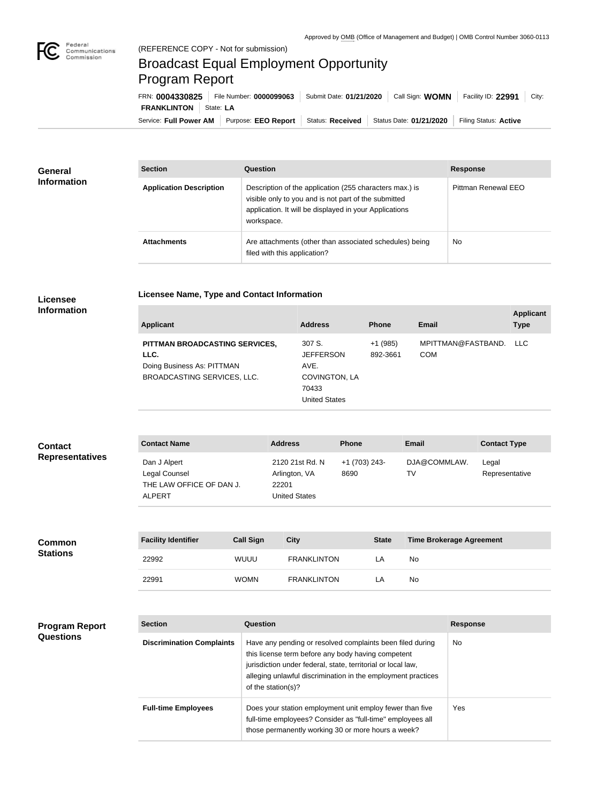

## Broadcast Equal Employment Opportunity Program Report

**Licensee Name, Type and Contact Information**

Service: Full Power AM | Purpose: EEO Report | Status: Received | Status Date: 01/21/2020 | Filing Status: Active **FRANKLINTON** State: LA FRN: **0004330825** File Number: **0000099063** Submit Date: **01/21/2020** Call Sign: **WOMN** Facility ID: **22991** City:

| <b>General</b><br><b>Information</b> | <b>Section</b>                 | Question                                                                                                                                                                                | <b>Response</b>     |
|--------------------------------------|--------------------------------|-----------------------------------------------------------------------------------------------------------------------------------------------------------------------------------------|---------------------|
|                                      | <b>Application Description</b> | Description of the application (255 characters max.) is<br>visible only to you and is not part of the submitted<br>application. It will be displayed in your Applications<br>workspace. | Pittman Renewal EEO |
|                                      | <b>Attachments</b>             | Are attachments (other than associated schedules) being<br>filed with this application?                                                                                                 | <b>No</b>           |

## **Licensee Information**

| <b>Applicant</b>                                                                                    | <b>Address</b>                                                                       | <b>Phone</b>          | Email                            | <b>Applicant</b><br><b>Type</b> |
|-----------------------------------------------------------------------------------------------------|--------------------------------------------------------------------------------------|-----------------------|----------------------------------|---------------------------------|
| PITTMAN BROADCASTING SERVICES,<br>LLC.<br>Doing Business As: PITTMAN<br>BROADCASTING SERVICES, LLC. | 307 S.<br><b>JEFFERSON</b><br>AVE.<br>COVINGTON, LA<br>70433<br><b>United States</b> | $+1(985)$<br>892-3661 | MPITTMAN@FASTBAND.<br><b>COM</b> | LLC.                            |

| <b>Contact</b>         | <b>Contact Name</b>                                                        | <b>Address</b>                                                    | <b>Phone</b>          | <b>Email</b>       | <b>Contact Type</b>     |
|------------------------|----------------------------------------------------------------------------|-------------------------------------------------------------------|-----------------------|--------------------|-------------------------|
| <b>Representatives</b> | Dan J Alpert<br>Legal Counsel<br>THE LAW OFFICE OF DAN J.<br><b>ALPERT</b> | 2120 21st Rd. N<br>Arlington, VA<br>22201<br><b>United States</b> | +1 (703) 243-<br>8690 | DJA@COMMLAW.<br>TV | Legal<br>Representative |

| <b>Common</b><br><b>Stations</b> | <b>Facility Identifier</b> | <b>Call Sign</b> | City               | <b>State</b> | <b>Time Brokerage Agreement</b> |
|----------------------------------|----------------------------|------------------|--------------------|--------------|---------------------------------|
|                                  | 22992                      | WUUU             | <b>FRANKLINTON</b> | LA           | No                              |
|                                  | 22991                      | <b>WOMN</b>      | <b>FRANKLINTON</b> | LA           | No                              |

| <b>Program Report</b><br><b>Questions</b> | <b>Section</b>                   | Question                                                                                                                                                                                                                                                              | <b>Response</b> |
|-------------------------------------------|----------------------------------|-----------------------------------------------------------------------------------------------------------------------------------------------------------------------------------------------------------------------------------------------------------------------|-----------------|
|                                           | <b>Discrimination Complaints</b> | Have any pending or resolved complaints been filed during<br>this license term before any body having competent<br>jurisdiction under federal, state, territorial or local law,<br>alleging unlawful discrimination in the employment practices<br>of the station(s)? | <b>No</b>       |
|                                           | <b>Full-time Employees</b>       | Does your station employment unit employ fewer than five<br>full-time employees? Consider as "full-time" employees all<br>those permanently working 30 or more hours a week?                                                                                          | Yes:            |